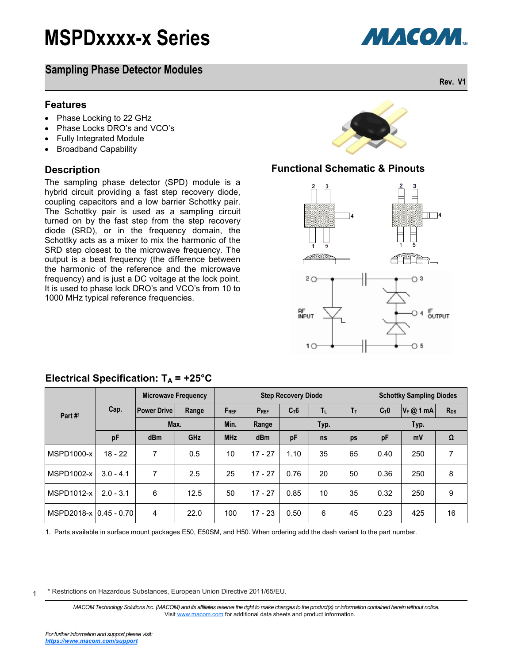### **Sampling Phase Detector Modules**

#### **Features**

- Phase Locking to 22 GHz
- Phase Locks DRO's and VCO's
- Fully Integrated Module
- Broadband Capability

#### **Description**

The sampling phase detector (SPD) module is a hybrid circuit providing a fast step recovery diode, coupling capacitors and a low barrier Schottky pair. The Schottky pair is used as a sampling circuit turned on by the fast step from the step recovery diode (SRD), or in the frequency domain, the Schottky acts as a mixer to mix the harmonic of the SRD step closest to the microwave frequency. The output is a beat frequency (the difference between the harmonic of the reference and the microwave frequency) and is just a DC voltage at the lock point. It is used to phase lock DRO's and VCO's from 10 to 1000 MHz typical reference frequencies.



#### **Functional Schematic & Pinouts**



|                        | Cap.        | <b>Microwave Frequency</b> |       | <b>Step Recovery Diode</b> |           |        |    |      | <b>Schottky Sampling Diodes</b> |           |          |
|------------------------|-------------|----------------------------|-------|----------------------------|-----------|--------|----|------|---------------------------------|-----------|----------|
| Part #1                |             | <b>Power Drive</b>         | Range | FREF                       | $P_{REF}$ | $C_T6$ | TL | Tт   | $C_T 0$                         | $V_F@1mA$ | $R_{DS}$ |
|                        |             | Max.                       |       | Min.                       | Range     | Typ.   |    | Typ. |                                 |           |          |
|                        | pF          | dBm                        | GHz   | <b>MHz</b>                 | dBm       | pF     | ns | ps   | pF                              | mV        | Ω        |
| MSPD1000-x             | $18 - 22$   | 7                          | 0.5   | 10                         | $17 - 27$ | 1.10   | 35 | 65   | 0.40                            | 250       |          |
| MSPD1002-x             | $3.0 - 4.1$ | 7                          | 2.5   | 25                         | $17 - 27$ | 0.76   | 20 | 50   | 0.36                            | 250       | 8        |
| MSPD1012-x             | $2.0 - 3.1$ | 6                          | 12.5  | 50                         | $17 - 27$ | 0.85   | 10 | 35   | 0.32                            | 250       | 9        |
| MSPD2018-x 0.45 - 0.70 |             | 4                          | 22.0  | 100                        | $17 - 23$ | 0.50   | 6  | 45   | 0.23                            | 425       | 16       |

### **Electrical Specification:**  $T_A$  **= +25°C**

1. Parts available in surface mount packages E50, E50SM, and H50. When ordering add the dash variant to the part number.

1 \* Restrictions on Hazardous Substances, European Union Directive 2011/65/EU.

> MACOM Technology Solutions Inc. (MACOM) and its affiliates reserve the right to make changes to the product(s) or information contained herein without notice. Visit [www.macom.com](http://www.macom.com/) for additional data sheets and product information.

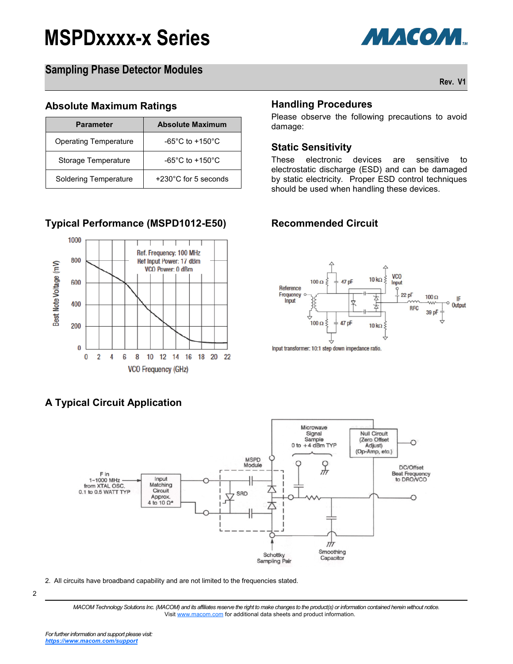

## **Sampling Phase Detector Modules**

**Rev. V1**

#### **Absolute Maximum Ratings**

| <b>Parameter</b>             | <b>Absolute Maximum</b>             |  |  |  |  |  |
|------------------------------|-------------------------------------|--|--|--|--|--|
| <b>Operating Temperature</b> | $-65^{\circ}$ C to $+150^{\circ}$ C |  |  |  |  |  |
| Storage Temperature          | $-65^{\circ}$ C to $+150^{\circ}$ C |  |  |  |  |  |
| Soldering Temperature        | $+230^{\circ}$ C for 5 seconds      |  |  |  |  |  |

## **Typical Performance (MSPD1012-E50) Recommended Circuit**



# **A Typical Circuit Application**

#### **Handling Procedures**

Please observe the following precautions to avoid damage:

#### **Static Sensitivity**

These electronic devices are sensitive to electrostatic discharge (ESD) and can be damaged by static electricity. Proper ESD control techniques should be used when handling these devices.



Input transformer: 10:1 step down impedance ratio.



2. All circuits have broadband capability and are not limited to the frequencies stated.

<sup>2</sup>

*MACOM Technology Solutions Inc. (MACOM) and its affiliates reserve the right to make changes to the product(s) or information contained herein without notice.*  Visit [www.macom.com](http://www.macom.com/) for additional data sheets and product information.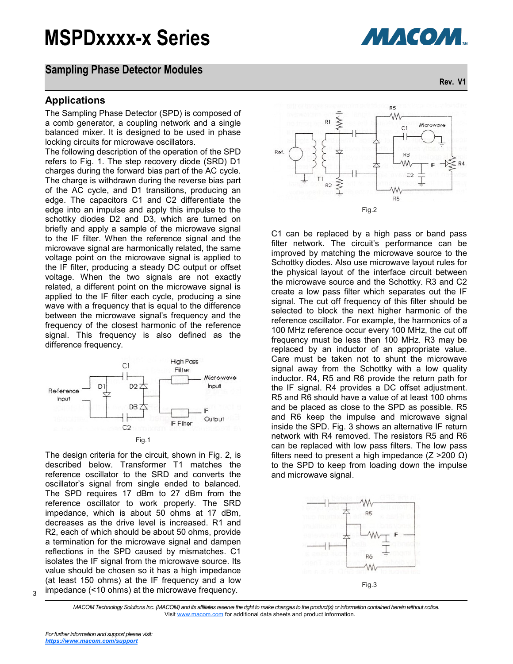#### **Sampling Phase Detector Modules**

#### **Applications**

The Sampling Phase Detector (SPD) is composed of a comb generator, a coupling network and a single balanced mixer. It is designed to be used in phase locking circuits for microwave oscillators.

The following description of the operation of the SPD refers to Fig. 1. The step recovery diode (SRD) D1 charges during the forward bias part of the AC cycle. The charge is withdrawn during the reverse bias part of the AC cycle, and D1 transitions, producing an edge. The capacitors C1 and C2 differentiate the edge into an impulse and apply this impulse to the schottky diodes D2 and D3, which are turned on briefly and apply a sample of the microwave signal to the IF filter. When the reference signal and the microwave signal are harmonically related, the same voltage point on the microwave signal is applied to the IF filter, producing a steady DC output or offset voltage. When the two signals are not exactly related, a different point on the microwave signal is applied to the IF filter each cycle, producing a sine wave with a frequency that is equal to the difference between the microwave signal's frequency and the frequency of the closest harmonic of the reference signal. This frequency is also defined as the difference frequency.



The design criteria for the circuit, shown in Fig. 2, is described below. Transformer T1 matches the reference oscillator to the SRD and converts the oscillator's signal from single ended to balanced. The SPD requires 17 dBm to 27 dBm from the reference oscillator to work properly. The SRD impedance, which is about 50 ohms at 17 dBm, decreases as the drive level is increased. R1 and R2, each of which should be about 50 ohms, provide a termination for the microwave signal and dampen reflections in the SPD caused by mismatches. C1 isolates the IF signal from the microwave source. Its value should be chosen so it has a high impedance (at least 150 ohms) at the IF frequency and a low impedance (<10 ohms) at the microwave frequency.



**МАСОМ.** 

**Rev. V1**



C1 can be replaced by a high pass or band pass filter network. The circuit's performance can be improved by matching the microwave source to the Schottky diodes. Also use microwave layout rules for the physical layout of the interface circuit between the microwave source and the Schottky. R3 and C2 create a low pass filter which separates out the IF signal. The cut off frequency of this filter should be selected to block the next higher harmonic of the reference oscillator. For example, the harmonics of a 100 MHz reference occur every 100 MHz, the cut off frequency must be less then 100 MHz. R3 may be replaced by an inductor of an appropriate value. Care must be taken not to shunt the microwave signal away from the Schottky with a low quality inductor. R4, R5 and R6 provide the return path for the IF signal. R4 provides a DC offset adjustment. R5 and R6 should have a value of at least 100 ohms and be placed as close to the SPD as possible. R5 and R6 keep the impulse and microwave signal inside the SPD. Fig. 3 shows an alternative IF return network with R4 removed. The resistors R5 and R6 can be replaced with low pass filters. The low pass filters need to present a high impedance ( $Z > 200$  Ω) to the SPD to keep from loading down the impulse and microwave signal.



*MACOM Technology Solutions Inc. (MACOM) and its affiliates reserve the right to make changes to the product(s) or information contained herein without notice.*  Visit [www.macom.com](http://www.macom.com/) for additional data sheets and product information.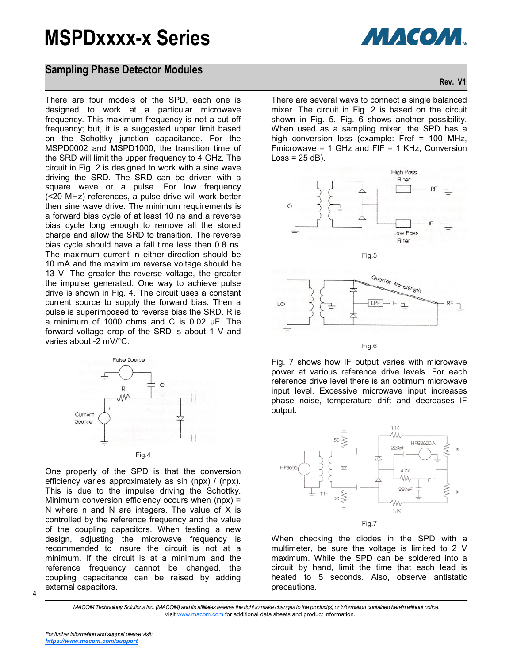

### **Sampling Phase Detector Modules**

There are four models of the SPD, each one is designed to work at a particular microwave frequency. This maximum frequency is not a cut off frequency; but, it is a suggested upper limit based on the Schottky junction capacitance. For the MSPD0002 and MSPD1000, the transition time of the SRD will limit the upper frequency to 4 GHz. The circuit in Fig. 2 is designed to work with a sine wave driving the SRD. The SRD can be driven with a square wave or a pulse. For low frequency (<20 MHz) references, a pulse drive will work better then sine wave drive. The minimum requirements is a forward bias cycle of at least 10 ns and a reverse bias cycle long enough to remove all the stored charge and allow the SRD to transition. The reverse bias cycle should have a fall time less then 0.8 ns. The maximum current in either direction should be 10 mA and the maximum reverse voltage should be 13 V. The greater the reverse voltage, the greater the impulse generated. One way to achieve pulse drive is shown in Fig. 4. The circuit uses a constant current source to supply the forward bias. Then a pulse is superimposed to reverse bias the SRD. R is a minimum of 1000 ohms and C is 0.02 µF. The forward voltage drop of the SRD is about 1 V and varies about -2 mV/°C.



One property of the SPD is that the conversion efficiency varies approximately as sin (npx) / (npx). This is due to the impulse driving the Schottky. Minimum conversion efficiency occurs when (npx) = N where n and N are integers. The value of X is controlled by the reference frequency and the value of the coupling capacitors. When testing a new design, adjusting the microwave frequency is recommended to insure the circuit is not at a minimum. If the circuit is at a minimum and the reference frequency cannot be changed, the coupling capacitance can be raised by adding external capacitors.



There are several ways to connect a single balanced mixer. The circuit in Fig. 2 is based on the circuit shown in Fig. 5. Fig. 6 shows another possibility. When used as a sampling mixer, the SPD has a high conversion loss (example: Fref = 100 MHz, Fmicrowave = 1 GHz and FIF = 1 KHz, Conversion  $Loss = 25 dB$ ).





Fig.6

Fig. 7 shows how IF output varies with microwave power at various reference drive levels. For each reference drive level there is an optimum microwave input level. Excessive microwave input increases phase noise, temperature drift and decreases IF output.



When checking the diodes in the SPD with a multimeter, be sure the voltage is limited to 2 V maximum. While the SPD can be soldered into a circuit by hand, limit the time that each lead is heated to 5 seconds. Also, observe antistatic precautions.

*MACOM Technology Solutions Inc. (MACOM) and its affiliates reserve the right to make changes to the product(s) or information contained herein without notice.*  Visit [www.macom.com](http://www.macom.com/) for additional data sheets and product information.

4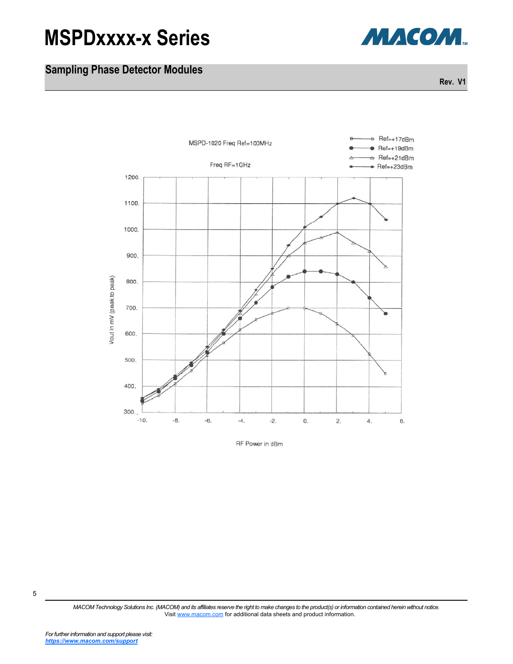

# **Sampling Phase Detector Modules**

**Rev. V1**



RF Power in dBm

5

*MACOM Technology Solutions Inc. (MACOM) and its affiliates reserve the right to make changes to the product(s) or information contained herein without notice.*  Visit [www.macom.com](http://www.macom.com/) for additional data sheets and product information.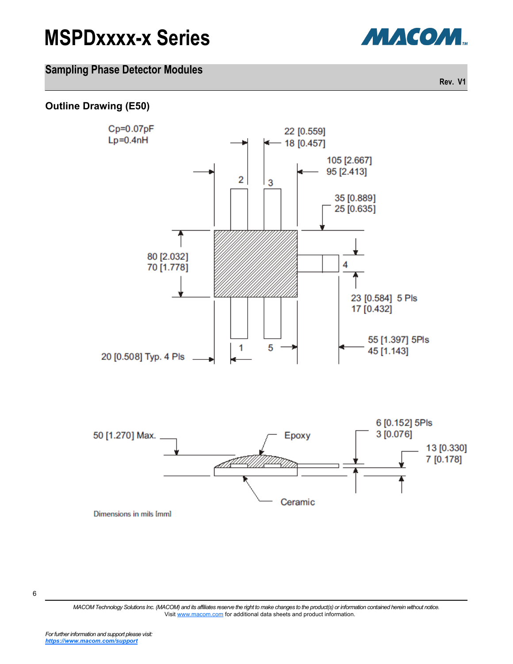

## **Sampling Phase Detector Modules**

**Rev. V1**

### **Outline Drawing (E50)**



6

*MACOM Technology Solutions Inc. (MACOM) and its affiliates reserve the right to make changes to the product(s) or information contained herein without notice.*  Visit [www.macom.com](http://www.macom.com/) for additional data sheets and product information.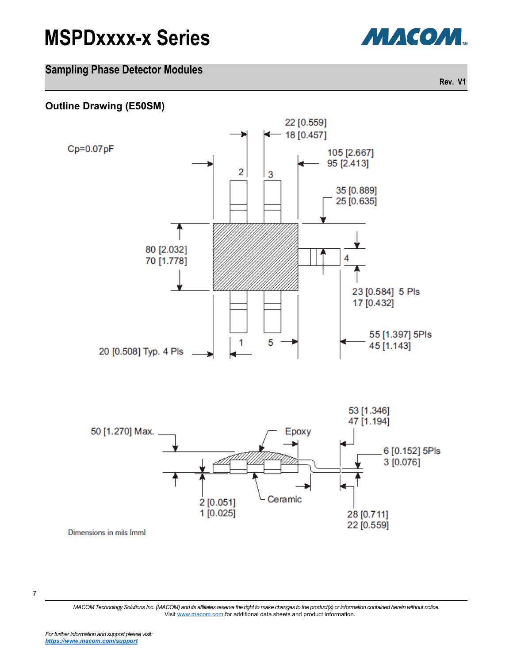



### **Sampling Phase Detector Modules**

**Rev. V1**

#### **Outline Drawing (E50SM)**



<sup>7</sup>

*MACOM Technology Solutions Inc. (MACOM) and its affiliates reserve the right to make changes to the product(s) or information contained herein without notice.*  Visit [www.macom.com](http://www.macom.com/) for additional data sheets and product information.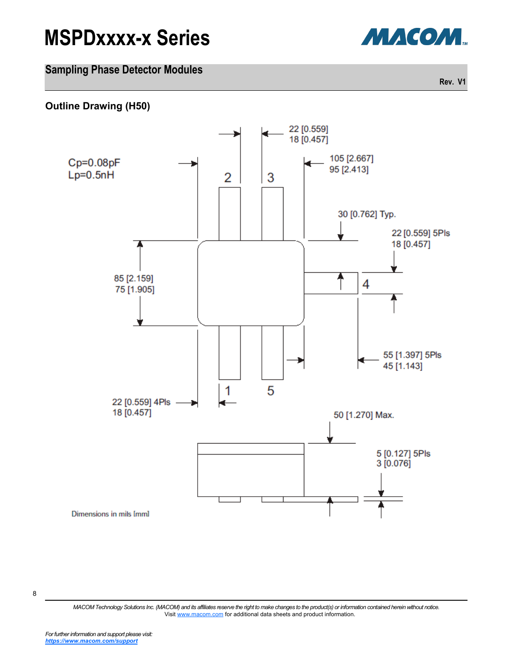



### **Sampling Phase Detector Modules**

**Rev. V1**

#### **Outline Drawing (H50)**



8

*MACOM Technology Solutions Inc. (MACOM) and its affiliates reserve the right to make changes to the product(s) or information contained herein without notice.*  Visit [www.macom.com](http://www.macom.com/) for additional data sheets and product information.